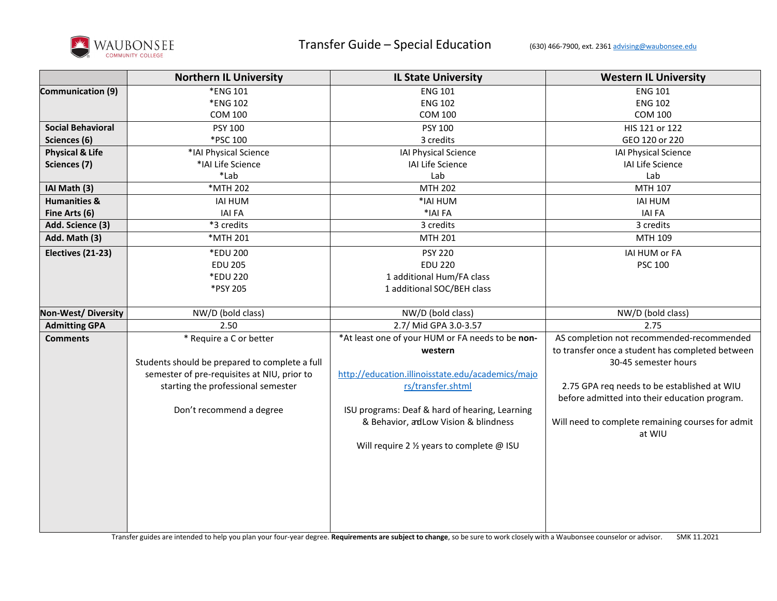

|                            | <b>Northern IL University</b>                  | <b>IL State University</b>                        | <b>Western IL University</b>                                |
|----------------------------|------------------------------------------------|---------------------------------------------------|-------------------------------------------------------------|
| Communication (9)          | *ENG 101                                       | <b>ENG 101</b>                                    | <b>ENG 101</b>                                              |
|                            | *ENG 102                                       | <b>ENG 102</b>                                    | <b>ENG 102</b>                                              |
|                            | <b>COM 100</b>                                 | <b>COM 100</b>                                    | COM 100                                                     |
| <b>Social Behavioral</b>   | <b>PSY 100</b>                                 | PSY 100                                           | HIS 121 or 122                                              |
| Sciences (6)               | *PSC 100                                       | 3 credits                                         | GEO 120 or 220                                              |
| <b>Physical &amp; Life</b> | *IAI Physical Science                          | IAI Physical Science                              | IAI Physical Science                                        |
| Sciences (7)               | *IAI Life Science                              | IAI Life Science                                  | IAI Life Science                                            |
|                            | *Lab                                           | Lab                                               | Lab                                                         |
| IAI Math (3)               | *MTH 202                                       | <b>MTH 202</b>                                    | MTH 107                                                     |
| <b>Humanities &amp;</b>    | <b>IAI HUM</b>                                 | *IAI HUM                                          | <b>IAI HUM</b>                                              |
| Fine Arts (6)              | <b>IAI FA</b>                                  | *IAI FA                                           | <b>IAI FA</b>                                               |
| Add. Science (3)           | *3 credits                                     | 3 credits                                         | 3 credits                                                   |
| Add. Math (3)              | *MTH 201                                       | MTH 201                                           | MTH 109                                                     |
| Electives (21-23)          | *EDU 200                                       | <b>PSY 220</b>                                    | IAI HUM or FA                                               |
|                            | <b>EDU 205</b>                                 | <b>EDU 220</b>                                    | <b>PSC 100</b>                                              |
|                            | *EDU 220                                       | 1 additional Hum/FA class                         |                                                             |
|                            | *PSY 205                                       | 1 additional SOC/BEH class                        |                                                             |
|                            |                                                |                                                   |                                                             |
| Non-West/Diversity         | NW/D (bold class)                              | NW/D (bold class)                                 | NW/D (bold class)                                           |
| <b>Admitting GPA</b>       | 2.50                                           | 2.7/ Mid GPA 3.0-3.57                             | 2.75                                                        |
| <b>Comments</b>            | * Require a C or better                        | *At least one of your HUM or FA needs to be non-  | AS completion not recommended-recommended                   |
|                            |                                                | western                                           | to transfer once a student has completed between            |
|                            | Students should be prepared to complete a full |                                                   | 30-45 semester hours                                        |
|                            | semester of pre-requisites at NIU, prior to    | http://education.illinoisstate.edu/academics/majo |                                                             |
|                            | starting the professional semester             | rs/transfer.shtml                                 | 2.75 GPA req needs to be established at WIU                 |
|                            |                                                |                                                   | before admitted into their education program.               |
|                            | Don't recommend a degree                       | ISU programs: Deaf & hard of hearing, Learning    |                                                             |
|                            |                                                | & Behavior, adLow Vision & blindness              | Will need to complete remaining courses for admit<br>at WIU |
|                            |                                                | Will require 2 1/2 years to complete @ ISU        |                                                             |
|                            |                                                |                                                   |                                                             |
|                            |                                                |                                                   |                                                             |
|                            |                                                |                                                   |                                                             |
|                            |                                                |                                                   |                                                             |
|                            |                                                |                                                   |                                                             |
|                            |                                                |                                                   |                                                             |
|                            |                                                |                                                   |                                                             |

Transfer guides are intended to help you plan your four-year degree. **Requirements are subject to change**, so be sure to work closely with a Waubonsee counselor or advisor. SMK 11.2021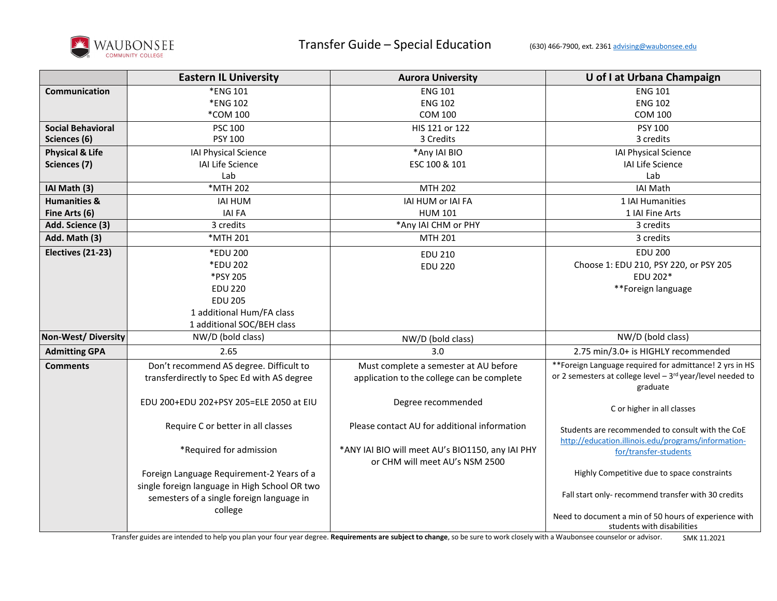

|                            | <b>Eastern IL University</b>                  | <b>Aurora University</b>                         | U of I at Urbana Champaign                                     |
|----------------------------|-----------------------------------------------|--------------------------------------------------|----------------------------------------------------------------|
| Communication              | *ENG 101                                      | <b>ENG 101</b>                                   | <b>ENG 101</b>                                                 |
|                            | *ENG 102                                      | <b>ENG 102</b>                                   | <b>ENG 102</b>                                                 |
|                            | *COM 100                                      | <b>COM 100</b>                                   | <b>COM 100</b>                                                 |
| <b>Social Behavioral</b>   | <b>PSC 100</b>                                | HIS 121 or 122                                   | PSY 100                                                        |
| Sciences (6)               | <b>PSY 100</b>                                | 3 Credits                                        | 3 credits                                                      |
| <b>Physical &amp; Life</b> | IAI Physical Science                          | *Any IAI BIO                                     | IAI Physical Science                                           |
| Sciences (7)               | IAI Life Science                              | ESC 100 & 101                                    | IAI Life Science                                               |
|                            | Lab                                           |                                                  | Lab                                                            |
| IAI Math (3)               | *MTH 202                                      | MTH 202                                          | <b>IAI Math</b>                                                |
| <b>Humanities &amp;</b>    | <b>IAI HUM</b>                                | IAI HUM or IAI FA                                | 1 IAI Humanities                                               |
| Fine Arts (6)              | <b>IAI FA</b>                                 | <b>HUM 101</b>                                   | 1 IAI Fine Arts                                                |
| Add. Science (3)           | 3 credits                                     | *Any IAI CHM or PHY                              | 3 credits                                                      |
| Add. Math (3)              | *MTH 201                                      | <b>MTH 201</b>                                   | 3 credits                                                      |
| Electives (21-23)          | *EDU 200                                      | <b>EDU 210</b>                                   | <b>EDU 200</b>                                                 |
|                            | *EDU 202                                      | <b>EDU 220</b>                                   | Choose 1: EDU 210, PSY 220, or PSY 205                         |
|                            | *PSY 205                                      |                                                  | EDU 202*                                                       |
|                            | <b>EDU 220</b>                                |                                                  | **Foreign language                                             |
|                            | <b>EDU 205</b>                                |                                                  |                                                                |
|                            | 1 additional Hum/FA class                     |                                                  |                                                                |
|                            | 1 additional SOC/BEH class                    |                                                  |                                                                |
| <b>Non-West/ Diversity</b> | NW/D (bold class)                             | NW/D (bold class)                                | NW/D (bold class)                                              |
| <b>Admitting GPA</b>       | 2.65                                          | 3.0                                              | 2.75 min/3.0+ is HIGHLY recommended                            |
| <b>Comments</b>            | Don't recommend AS degree. Difficult to       | Must complete a semester at AU before            | **Foreign Language required for admittance! 2 yrs in HS        |
|                            | transferdirectly to Spec Ed with AS degree    | application to the college can be complete       | or 2 semesters at college level $-3^{rd}$ year/level needed to |
|                            |                                               |                                                  | graduate                                                       |
|                            | EDU 200+EDU 202+PSY 205=ELE 2050 at EIU       | Degree recommended                               | C or higher in all classes                                     |
|                            |                                               |                                                  |                                                                |
|                            | Require C or better in all classes            | Please contact AU for additional information     | Students are recommended to consult with the CoE               |
|                            |                                               |                                                  | http://education.illinois.edu/programs/information-            |
|                            | *Required for admission                       | *ANY IAI BIO will meet AU's BIO1150, any IAI PHY | for/transfer-students                                          |
|                            |                                               | or CHM will meet AU's NSM 2500                   |                                                                |
|                            | Foreign Language Requirement-2 Years of a     |                                                  | Highly Competitive due to space constraints                    |
|                            | single foreign language in High School OR two |                                                  | Fall start only- recommend transfer with 30 credits            |
|                            | semesters of a single foreign language in     |                                                  |                                                                |
|                            | college                                       |                                                  | Need to document a min of 50 hours of experience with          |
|                            |                                               |                                                  | students with disabilities                                     |

Transfer guides are intended to help you plan your four year degree. **Requirements are subject to change**, so be sure to work closely with a Waubonsee counselor or advisor. SMK 11.2021